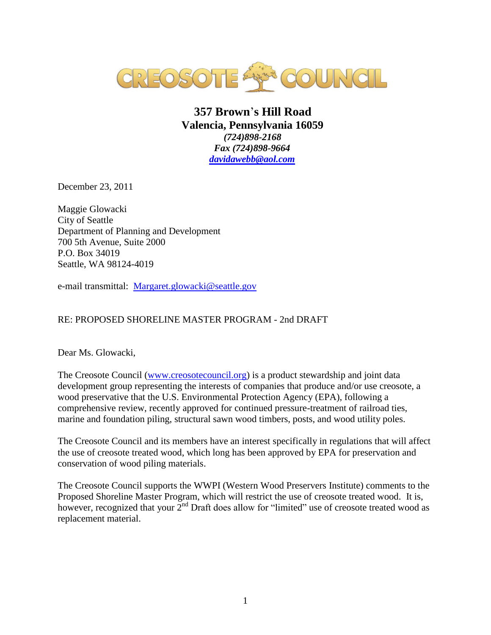

## **357 Brown**'**s Hill Road Valencia, Pennsylvania 16059**  *(724)898-2168 Fax (724)898-9664 [davidawebb@aol.com](mailto:davidawebb@aol.com)*

December 23, 2011

Maggie Glowacki City of Seattle Department of Planning and Development 700 5th Avenue, Suite 2000 P.O. Box 34019 Seattle, WA 98124-4019

e-mail transmittal: [Margaret.glowacki@seattle.gov](mailto:Margaret.glowacki@seattle.gov)

## RE: PROPOSED SHORELINE MASTER PROGRAM - 2nd DRAFT

Dear Ms. Glowacki,

The Creosote Council [\(www.creosotecouncil.org\)](http://www.creosotecouncil.org/) is a product stewardship and joint data development group representing the interests of companies that produce and/or use creosote, a wood preservative that the U.S. Environmental Protection Agency (EPA), following a comprehensive review, recently approved for continued pressure-treatment of railroad ties, marine and foundation piling, structural sawn wood timbers, posts, and wood utility poles.

The Creosote Council and its members have an interest specifically in regulations that will affect the use of creosote treated wood, which long has been approved by EPA for preservation and conservation of wood piling materials.

The Creosote Council supports the WWPI (Western Wood Preservers Institute) comments to the Proposed Shoreline Master Program, which will restrict the use of creosote treated wood. It is, however, recognized that your 2<sup>nd</sup> Draft does allow for "limited" use of creosote treated wood as replacement material.